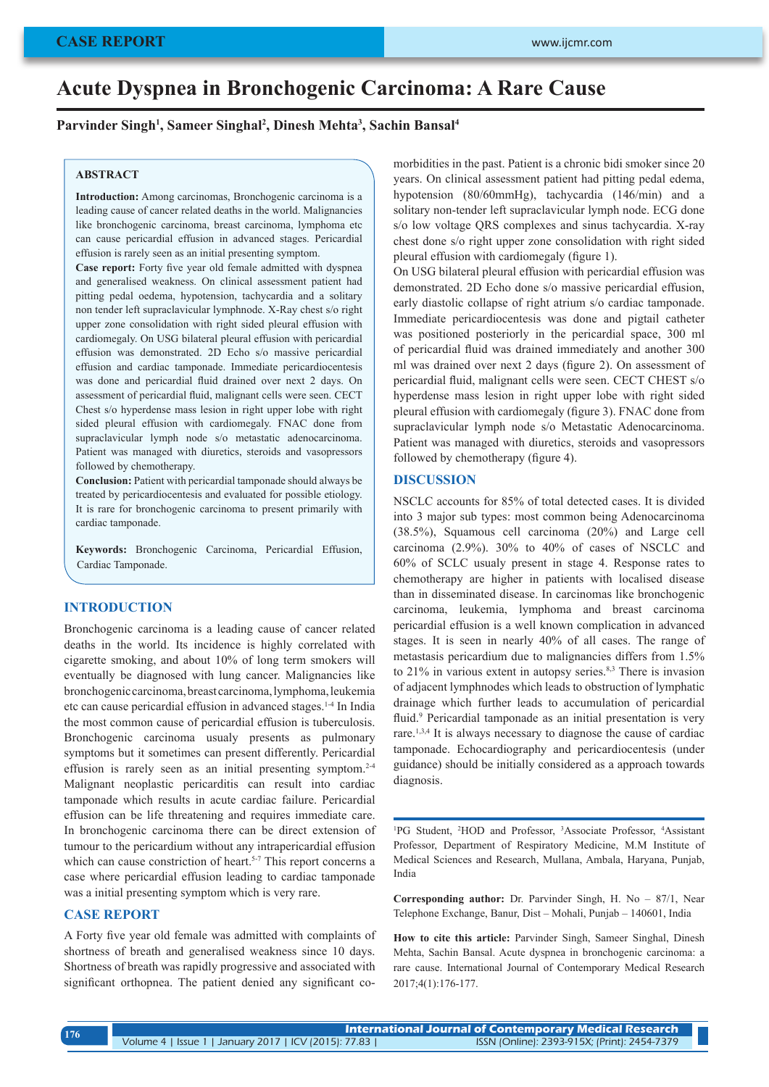# **Acute Dyspnea in Bronchogenic Carcinoma: A Rare Cause**

**Parvinder Singh1 , Sameer Singhal2 , Dinesh Mehta3 , Sachin Bansal4**

#### **ABSTRACT**

**Introduction:** Among carcinomas, Bronchogenic carcinoma is a leading cause of cancer related deaths in the world. Malignancies like bronchogenic carcinoma, breast carcinoma, lymphoma etc can cause pericardial effusion in advanced stages. Pericardial effusion is rarely seen as an initial presenting symptom.

**Case report:** Forty five year old female admitted with dyspnea and generalised weakness. On clinical assessment patient had pitting pedal oedema, hypotension, tachycardia and a solitary non tender left supraclavicular lymphnode. X-Ray chest s/o right upper zone consolidation with right sided pleural effusion with cardiomegaly. On USG bilateral pleural effusion with pericardial effusion was demonstrated. 2D Echo s/o massive pericardial effusion and cardiac tamponade. Immediate pericardiocentesis was done and pericardial fluid drained over next 2 days. On assessment of pericardial fluid, malignant cells were seen. CECT Chest s/o hyperdense mass lesion in right upper lobe with right sided pleural effusion with cardiomegaly. FNAC done from supraclavicular lymph node s/o metastatic adenocarcinoma. Patient was managed with diuretics, steroids and vasopressors followed by chemotherapy.

**Conclusion:** Patient with pericardial tamponade should always be treated by pericardiocentesis and evaluated for possible etiology. It is rare for bronchogenic carcinoma to present primarily with cardiac tamponade.

**Keywords:** Bronchogenic Carcinoma, Pericardial Effusion, Cardiac Tamponade.

#### **INTRODUCTION**

Bronchogenic carcinoma is a leading cause of cancer related deaths in the world. Its incidence is highly correlated with cigarette smoking, and about 10% of long term smokers will eventually be diagnosed with lung cancer. Malignancies like bronchogenic carcinoma, breast carcinoma, lymphoma, leukemia etc can cause pericardial effusion in advanced stages.1-4 In India the most common cause of pericardial effusion is tuberculosis. Bronchogenic carcinoma usualy presents as pulmonary symptoms but it sometimes can present differently. Pericardial effusion is rarely seen as an initial presenting symptom. $2-4$ Malignant neoplastic pericarditis can result into cardiac tamponade which results in acute cardiac failure. Pericardial effusion can be life threatening and requires immediate care. In bronchogenic carcinoma there can be direct extension of tumour to the pericardium without any intrapericardial effusion which can cause constriction of heart.<sup>5-7</sup> This report concerns a case where pericardial effusion leading to cardiac tamponade was a initial presenting symptom which is very rare.

### **CASE REPORT**

A Forty five year old female was admitted with complaints of shortness of breath and generalised weakness since 10 days. Shortness of breath was rapidly progressive and associated with significant orthopnea. The patient denied any significant comorbidities in the past. Patient is a chronic bidi smoker since 20 years. On clinical assessment patient had pitting pedal edema, hypotension (80/60mmHg), tachycardia (146/min) and a solitary non-tender left supraclavicular lymph node. ECG done s/o low voltage QRS complexes and sinus tachycardia. X-ray chest done s/o right upper zone consolidation with right sided pleural effusion with cardiomegaly (figure 1).

On USG bilateral pleural effusion with pericardial effusion was demonstrated. 2D Echo done s/o massive pericardial effusion, early diastolic collapse of right atrium s/o cardiac tamponade. Immediate pericardiocentesis was done and pigtail catheter was positioned posteriorly in the pericardial space, 300 ml of pericardial fluid was drained immediately and another 300 ml was drained over next 2 days (figure 2). On assessment of pericardial fluid, malignant cells were seen. CECT CHEST s/o hyperdense mass lesion in right upper lobe with right sided pleural effusion with cardiomegaly (figure 3). FNAC done from supraclavicular lymph node s/o Metastatic Adenocarcinoma. Patient was managed with diuretics, steroids and vasopressors followed by chemotherapy (figure 4).

## **DISCUSSION**

NSCLC accounts for 85% of total detected cases. It is divided into 3 major sub types: most common being Adenocarcinoma (38.5%), Squamous cell carcinoma (20%) and Large cell carcinoma (2.9%). 30% to 40% of cases of NSCLC and 60% of SCLC usualy present in stage 4. Response rates to chemotherapy are higher in patients with localised disease than in disseminated disease. In carcinomas like bronchogenic carcinoma, leukemia, lymphoma and breast carcinoma pericardial effusion is a well known complication in advanced stages. It is seen in nearly 40% of all cases. The range of metastasis pericardium due to malignancies differs from 1.5% to 21% in various extent in autopsy series.<sup>8,3</sup> There is invasion of adjacent lymphnodes which leads to obstruction of lymphatic drainage which further leads to accumulation of pericardial fluid.<sup>9</sup> Pericardial tamponade as an initial presentation is very rare.1,3,4 It is always necessary to diagnose the cause of cardiac tamponade. Echocardiography and pericardiocentesis (under guidance) should be initially considered as a approach towards diagnosis.

<sup>1</sup>PG Student, <sup>2</sup>HOD and Professor, <sup>3</sup>Associate Professor, <sup>4</sup>Assistant Professor, Department of Respiratory Medicine, M.M Institute of Medical Sciences and Research, Mullana, Ambala, Haryana, Punjab, India

**Corresponding author:** Dr. Parvinder Singh, H. No – 87/1, Near Telephone Exchange, Banur, Dist – Mohali, Punjab – 140601, India

**How to cite this article:** Parvinder Singh, Sameer Singhal, Dinesh Mehta, Sachin Bansal. Acute dyspnea in bronchogenic carcinoma: a rare cause. International Journal of Contemporary Medical Research 2017;4(1):176-177.